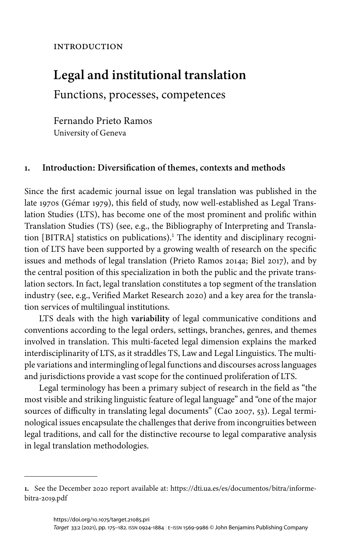# **INTRODUCTION**

# **Legal and institutional translation**

Functions, processes, competences

Fernando Prieto Ramos University of Geneva

# **1. Introduction: Diversification of themes, contexts and methods**

Since the first academic journal issue on legal translation was published in the late 1970s [\(Gémar 1979\)](#page-6-0), this field of study, now well-established as Legal Translation Studies (LTS), has become one of the most prominent and prolific within Translation Studies (TS) (see, e.g., the Bibliography of Interpreting and Translation [BITRA] statistics on publications).<sup>1</sup> The identity and disciplinary recognition of LTS have been supported by a growing wealth of research on the specific issues and methods of legal translation [\(Prieto Ramos 2014a;](#page-6-1) [Biel 2017\)](#page-6-2), and by the central position of this specialization in both the public and the private translation sectors. In fact, legal translation constitutes a top segment of the translation industry (see, e.g., [Verified Market Research 2020\)](#page-7-0) and a key area for the translation services of multilingual institutions.

LTS deals with the high **variability** of legal communicative conditions and conventions according to the legal orders, settings, branches, genres, and themes involved in translation. This multi-faceted legal dimension explains the marked interdisciplinarity of LTS, as it straddles TS, Law and Legal Linguistics. The multiple variations and intermingling of legal functions and discourses across languages and jurisdictions provide a vast scope for the continued proliferation of LTS.

Legal terminology has been a primary subject of research in the field as "the most visible and striking linguistic feature of legal language" and "one of the major sources of difficulty in translating legal documents" [\(Cao 2007,](#page-6-3) 53). Legal terminological issues encapsulate the challenges that derive from incongruities between legal traditions, and call for the distinctive recourse to legal comparative analysis in legal translation methodologies.

**<sup>1.</sup>** See the December 2020 report available at: [https://dti.ua.es/es/documentos/bitra/informe](https://dti.ua.es/es/documentos/bitra/informe-bitra-2019.pdf)[bitra-2019.pdf](https://dti.ua.es/es/documentos/bitra/informe-bitra-2019.pdf)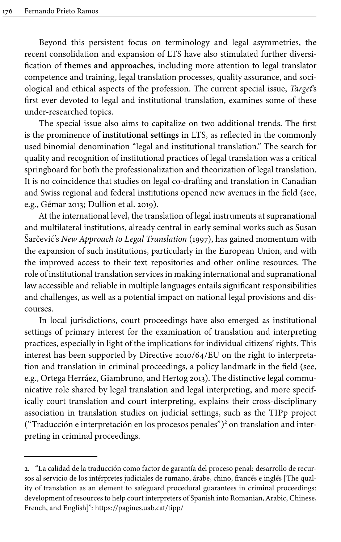Beyond this persistent focus on terminology and legal asymmetries, the recent consolidation and expansion of LTS have also stimulated further diversification of **themes and approaches**, including more attention to legal translator competence and training, legal translation processes, quality assurance, and sociological and ethical aspects of the profession. The current special issue, *Target*'s first ever devoted to legal and institutional translation, examines some of these under-researched topics.

The special issue also aims to capitalize on two additional trends. The first is the prominence of **institutional settings** in LTS, as reflected in the commonly used binomial denomination "legal and institutional translation." The search for quality and recognition of institutional practices of legal translation was a critical springboard for both the professionalization and theorization of legal translation. It is no coincidence that studies on legal co-drafting and translation in Canadian and Swiss regional and federal institutions opened new avenues in the field (see, e.g., [Gémar 2013;](#page-6-4) [Dullion et](#page-6-5) al. 2019).

At the international level, the translation of legal instruments at supranational and multilateral institutions, already central in early seminal works such as Susan Šarčević's *New Approach to Legal Translation* ([1997](#page-6-6)), has gained momentum with the expansion of such institutions, particularly in the European Union, and with the improved access to their text repositories and other online resources. The role of institutional translation services in making international and supranational law accessible and reliable in multiple languages entails significant responsibilities and challenges, as well as a potential impact on national legal provisions and discourses.

In local jurisdictions, court proceedings have also emerged as institutional settings of primary interest for the examination of translation and interpreting practices, especially in light of the implications for individual citizens' rights. This interest has been supported by Directive 2010/64/EU on the right to interpretation and translation in criminal proceedings, a policy landmark in the field (see, e.g., [Ortega Herráez, Giambruno, and Hertog 2013\)](#page-6-7). The distinctive legal communicative role shared by legal translation and legal interpreting, and more specifically court translation and court interpreting, explains their cross-disciplinary association in translation studies on judicial settings, such as the TIPp project ("Traducción e interpretación en los procesos penales") <sup>2</sup> on translation and interpreting in criminal proceedings.

**<sup>2.</sup>** "La calidad de la traducción como factor de garantía del proceso penal: desarrollo de recursos al servicio de los intérpretes judiciales de rumano, árabe, chino, francés e inglés [The quality of translation as an element to safeguard procedural guarantees in criminal proceedings: development of resources to help court interpreters of Spanish into Romanian, Arabic, Chinese, French, and English]": <https://pagines.uab.cat/tipp/>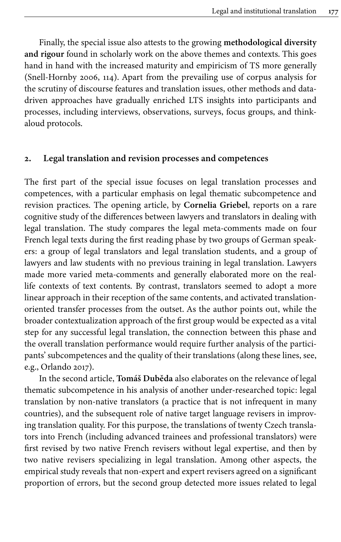Finally, the special issue also attests to the growing **methodological diversity and rigour** found in scholarly work on the above themes and contexts. This goes hand in hand with the increased maturity and empiricism of TS more generally [\(Snell-Hornby](#page-6-8) 2006, 114). Apart from the prevailing use of corpus analysis for the scrutiny of discourse features and translation issues, other methods and datadriven approaches have gradually enriched LTS insights into participants and processes, including interviews, observations, surveys, focus groups, and thinkaloud protocols.

#### **2. Legal translation and revision processes and competences**

The first part of the special issue focuses on legal translation processes and competences, with a particular emphasis on legal thematic subcompetence and revision practices. The opening article, by **Cornelia Griebel**, reports on a rare cognitive study of the differences between lawyers and translators in dealing with legal translation. The study compares the legal meta-comments made on four French legal texts during the first reading phase by two groups of German speakers: a group of legal translators and legal translation students, and a group of lawyers and law students with no previous training in legal translation. Lawyers made more varied meta-comments and generally elaborated more on the reallife contexts of text contents. By contrast, translators seemed to adopt a more linear approach in their reception of the same contents, and activated translationoriented transfer processes from the outset. As the author points out, while the broader contextualization approach of the first group would be expected as a vital step for any successful legal translation, the connection between this phase and the overall translation performance would require further analysis of the participants' subcompetences and the quality of their translations (along these lines, see, e.g., [Orlando 2017\)](#page-6-9).

In the second article, **Tomáš Duběda** also elaborates on the relevance of legal thematic subcompetence in his analysis of another under-researched topic: legal translation by non-native translators (a practice that is not infrequent in many countries), and the subsequent role of native target language revisers in improving translation quality. For this purpose, the translations of twenty Czech translators into French (including advanced trainees and professional translators) were first revised by two native French revisers without legal expertise, and then by two native revisers specializing in legal translation. Among other aspects, the empirical study reveals that non-expert and expert revisers agreed on a significant proportion of errors, but the second group detected more issues related to legal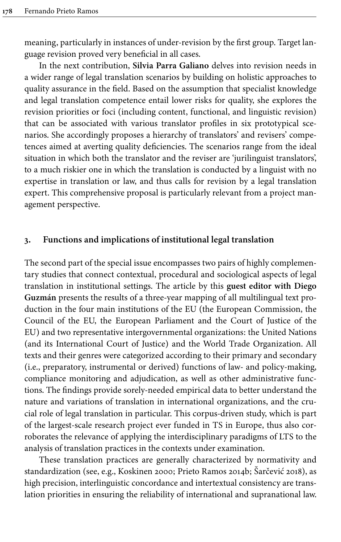meaning, particularly in instances of under-revision by the first group. Target language revision proved very beneficial in all cases.

In the next contribution, **Silvia Parra Galiano** delves into revision needs in a wider range of legal translation scenarios by building on holistic approaches to quality assurance in the field. Based on the assumption that specialist knowledge and legal translation competence entail lower risks for quality, she explores the revision priorities or foci (including content, functional, and linguistic revision) that can be associated with various translator profiles in six prototypical scenarios. She accordingly proposes a hierarchy of translators' and revisers' competences aimed at averting quality deficiencies. The scenarios range from the ideal situation in which both the translator and the reviser are 'jurilinguist translators', to a much riskier one in which the translation is conducted by a linguist with no expertise in translation or law, and thus calls for revision by a legal translation expert. This comprehensive proposal is particularly relevant from a project management perspective.

## **3. Functions and implications of institutional legal translation**

The second part of the special issue encompasses two pairs of highly complementary studies that connect contextual, procedural and sociological aspects of legal translation in institutional settings. The article by this **guest editor with Diego Guzmán** presents the results of a three-year mapping of all multilingual text production in the four main institutions of the EU (the European Commission, the Council of the EU, the European Parliament and the Court of Justice of the EU) and two representative intergovernmental organizations: the United Nations (and its International Court of Justice) and the World Trade Organization. All texts and their genres were categorized according to their primary and secondary (i.e., preparatory, instrumental or derived) functions of law- and policy-making, compliance monitoring and adjudication, as well as other administrative functions. The findings provide sorely-needed empirical data to better understand the nature and variations of translation in international organizations, and the crucial role of legal translation in particular. This corpus-driven study, which is part of the largest-scale research project ever funded in TS in Europe, thus also corroborates the relevance of applying the interdisciplinary paradigms of LTS to the analysis of translation practices in the contexts under examination.

These translation practices are generally characterized by normativity and standardization (see, e.g., [Koskinen 2000](#page-6-10); [Prieto Ramos 2014b](#page-6-11); [Šarčević 2018\)](#page-6-12), as high precision, interlinguistic concordance and intertextual consistency are translation priorities in ensuring the reliability of international and supranational law.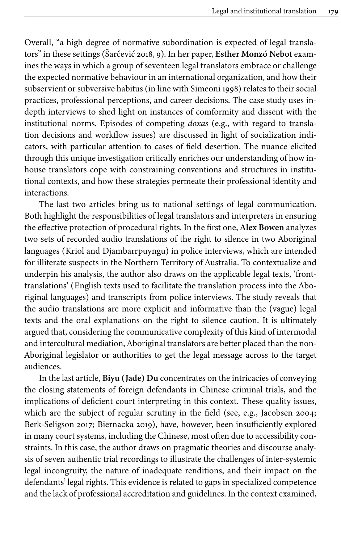Overall, "a high degree of normative subordination is expected of legal translators" in these settings [\(Šarčević 2018,](#page-6-12) 9). In her paper, **Esther Monzó Nebot** examines the ways in which a group of seventeen legal translators embrace or challenge the expected normative behaviour in an international organization, and how their subservient or subversive habitus (in line with [Simeoni 1998](#page-6-13)) relates to their social practices, professional perceptions, and career decisions. The case study uses indepth interviews to shed light on instances of comformity and dissent with the institutional norms. Episodes of competing *doxas* (e.g., with regard to translation decisions and workflow issues) are discussed in light of socialization indicators, with particular attention to cases of field desertion. The nuance elicited through this unique investigation critically enriches our understanding of how inhouse translators cope with constraining conventions and structures in institutional contexts, and how these strategies permeate their professional identity and interactions.

The last two articles bring us to national settings of legal communication. Both highlight the responsibilities of legal translators and interpreters in ensuring the effective protection of procedural rights. In the first one, **Alex Bowen** analyzes two sets of recorded audio translations of the right to silence in two Aboriginal languages (Kriol and Djambarrpuyngu) in police interviews, which are intended for illiterate suspects in the Northern Territory of Australia. To contextualize and underpin his analysis, the author also draws on the applicable legal texts, 'fronttranslations' (English texts used to facilitate the translation process into the Aboriginal languages) and transcripts from police interviews. The study reveals that the audio translations are more explicit and informative than the (vague) legal texts and the oral explanations on the right to silence caution. It is ultimately argued that, considering the communicative complexity of this kind of intermodal and intercultural mediation, Aboriginal translators are better placed than the non-Aboriginal legislator or authorities to get the legal message across to the target audiences.

In the last article, **Biyu (Jade) Du** concentrates on the intricacies of conveying the closing statements of foreign defendants in Chinese criminal trials, and the implications of deficient court interpreting in this context. These quality issues, which are the subject of regular scrutiny in the field (see, e.g., [Jacobsen 2004](#page-6-14); [Berk-Seligson](#page-5-0) 2017; [Biernacka 2019](#page-6-15)), have, however, been insufficiently explored in many court systems, including the Chinese, most often due to accessibility constraints. In this case, the author draws on pragmatic theories and discourse analysis of seven authentic trial recordings to illustrate the challenges of inter-systemic legal incongruity, the nature of inadequate renditions, and their impact on the defendants' legal rights. This evidence is related to gaps in specialized competence and the lack of professional accreditation and guidelines. In the context examined,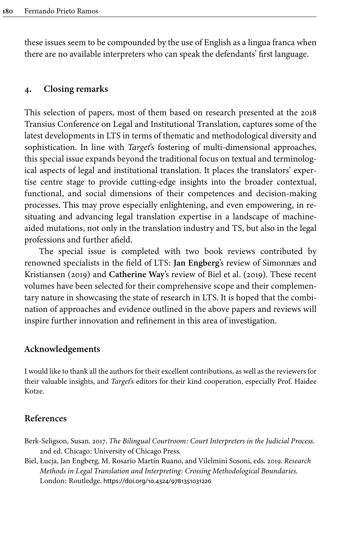these issues seem to be compounded by the use of English as a lingua franca when there are no available interpreters who can speak the defendants' first language.

#### **4. Closing remarks**

This selection of papers, most of them based on research presented at the 2018 Transius Conference on Legal and Institutional Translation, captures some of the latest developments in LTS in terms of thematic and methodological diversity and sophistication. In line with *Target*'s fostering of multi-dimensional approaches, this special issue expands beyond the traditional focus on textual and terminological aspects of legal and institutional translation. It places the translators' expertise centre stage to provide cutting-edge insights into the broader contextual, functional, and social dimensions of their competences and decision-making processes. This may prove especially enlightening, and even empowering, in resituating and advancing legal translation expertise in a landscape of machineaided mutations, not only in the translation industry and TS, but also in the legal professions and further afield.

The special issue is completed with two book reviews contributed by renowned specialists in the field of LTS: **Jan Engberg**'s review of [Simonnæs and](#page-6-16) [Kristiansen \(2019\)](#page-6-16) and **Catherine Way**'s review of Biel et [al. \(2019\)](#page-5-1). These recent volumes have been selected for their comprehensive scope and their complementary nature in showcasing the state of research in LTS. It is hoped that the combination of approaches and evidence outlined in the above papers and reviews will inspire further innovation and refinement in this area of investigation.

#### **Acknowledgements**

I would like to thank all the authors for their excellent contributions, as well as the reviewers for their valuable insights, and *Target*'s editors for their kind cooperation, especially Prof. Haidee Kotze.

#### **References**

- <span id="page-5-0"></span>Berk-Seligson, Susan. 2017. *The Bilingual Courtroom: Court Interpreters in the Judicial Process*. 2nd ed. Chicago: University of Chicago Press.
- <span id="page-5-1"></span>Biel, Łucja, Jan Engberg, M. Rosario Martín Ruano, and Vilelmini Sosoni, eds. 2019. *Research Methods in Legal Translation and Interpreting: Crossing Methodological Boundaries*. London: Routledge. [https://doi.org/10.4324/9781351031226](https://doi.org/10.4324%2F9781351031226)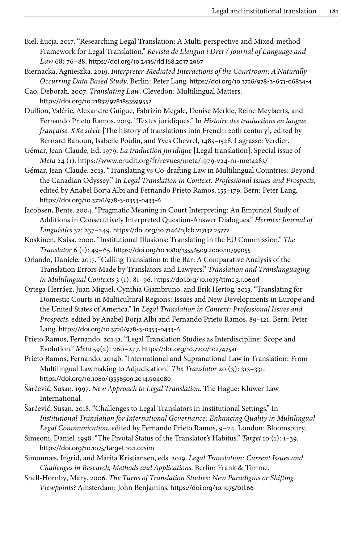- <span id="page-6-2"></span>Biel, Łucja. 2017. "Researching Legal Translation: A Multi-perspective and Mixed-method Framework for Legal Translation." *Revista de Llengua i Dret / Journal of Language and Law* 68: 76–88. [https://doi.org/10.2436/rld.i68.2017.2967](https://doi.org/10.2436%2Frld.i68.2017.2967)
- <span id="page-6-15"></span>Biernacka, Agnieszka. 2019. *Interpreter-Mediated Interactions of the Courtroom: A Naturally Occurring Data Based Study*. Berlin: Peter Lang. [https://doi.org/10.3726/978](https://doi.org/10.3726%2F978-3-653-06834-4)‑3‑653‑06834‑4
- <span id="page-6-3"></span>Cao, Deborah. 2007. *Translating Law*. Clevedon: Multilingual Matters. [https://doi.org/10.21832/9781853599552](https://doi.org/10.21832%2F9781853599552)
- <span id="page-6-5"></span>Dullion, Valérie, Alexandre Guigue, Fabrizio Megale, Denise Merkle, Reine Meylaerts, and Fernando Prieto Ramos. 2019. "Textes juridiques." In *Histoire des traductions en langue française. XXe siècle* [The history of translations into French: 20th century], edited by Bernard Banoun, Isabelle Poulin, and Yves Chevrel, 1485–1528. Lagrasse: Verdier.
- <span id="page-6-0"></span>Gémar, Jean-Claude, Ed. 1979. *La traduction juridique* [Legal translation]. Special issue of *Meta* 24 (1). <https://www.erudit.org/fr/revues/meta/1979-v24-n1-meta283/>
- <span id="page-6-4"></span>Gémar, Jean-Claude. 2013. "Translating vs Co-drafting Law in Multilingual Countries: Beyond the Canadian Odyssey." In *Legal Translation in Context: Professional Issues and Prospects*, edited by Anabel Borja Albi and Fernando Prieto Ramos, 155–179. Bern: Peter Lang. [https://doi.org/10.3726/978](https://doi.org/10.3726%2F978-3-0353-0433-6)‑3‑0353‑0433‑6
- <span id="page-6-14"></span>Jacobsen, Bente. 2004. "Pragmatic Meaning in Court Interpreting: An Empirical Study of Additions in Consecutively Interpreted Question-Answer Dialogues." *Hermes: Journal of Linguistics* 32: 237–249. [https://doi.org/10.7146/hjlcb.v17i32.25772](https://doi.org/10.7146%2Fhjlcb.v17i32.25772)
- <span id="page-6-10"></span>Koskinen, Kaisa. 2000. "Institutional Illusions: Translating in the EU Commission." *The Translator* 6 (1): 49–65. [https://doi.org/10.1080/13556509.2000.10799055](https://doi.org/10.1080%2F13556509.2000.10799055)
- <span id="page-6-9"></span>Orlando, Daniele. 2017. "Calling Translation to the Bar: A Comparative Analysis of the Translation Errors Made by Translators and Lawyers." *Translation and Translanguaging in Multilingual Contexts* 3 (1): 81–96. [https://doi.org/10.1075/ttmc.3.1.06orl](https://doi.org/10.1075%2Fttmc.3.1.06orl)
- <span id="page-6-7"></span>Ortega Herráez, Juan Miguel, Cynthia Giambruno, and Erik Hertog. 2013. "Translating for Domestic Courts in Multicultural Regions: Issues and New Developments in Europe and the United States of America." In *Legal Translation in Context: Professional Issues and Prospects*, edited by Anabel Borja Albi and Fernando Prieto Ramos, 89–121. Bern: Peter Lang. [https://doi.org/10.3726/978](https://doi.org/10.3726%2F978-3-0353-0433-6)‑3‑0353‑0433‑6
- <span id="page-6-1"></span>Prieto Ramos, Fernando. 2014a. "Legal Translation Studies as Interdiscipline: Scope and Evolution." *Meta* 59(2): 260–277. [https://doi.org/10.7202/1027475ar](https://doi.org/10.7202%2F1027475ar)
- <span id="page-6-11"></span>Prieto Ramos, Fernando. 2014b. "International and Supranational Law in Translation: From Multilingual Lawmaking to Adjudication." *The Translator* 20 (3): 313–331. [https://doi.org/10.1080/13556509.2014.904080](https://doi.org/10.1080%2F13556509.2014.904080)

<span id="page-6-6"></span>Šarčević, Susan. 1997. *New Approach to Legal Translation*. The Hague: Kluwer Law International.

- <span id="page-6-12"></span>Šarčević, Susan. 2018. "Challenges to Legal Translators in Institutional Settings." In *Institutional Translation for International Governance: Enhancing Quality in Multilingual Legal Communication*, edited by Fernando Prieto Ramos, 9–24. London: Bloomsbury.
- <span id="page-6-13"></span>Simeoni, Daniel. 1998. "The Pivotal Status of the Translator's Habitus." *Target* 10 (1): 1–39. [https://doi.org/10.1075/target.10.1.02sim](https://doi.org/10.1075%2Ftarget.10.1.02sim)
- <span id="page-6-16"></span>Simonnæs, Ingrid, and Marita Kristiansen, eds. 2019. *Legal Translation: Current Issues and Challenges in Research, Methods and Applications*. Berlin: Frank & Timme.
- <span id="page-6-8"></span>Snell-Hornby, Mary. 2006. *The Turns of Translation Studies: New Paradigms or Shifting Viewpoints?* Amsterdam: John Benjamins. [https://doi.org/10.1075/btl.66](https://doi.org/10.1075%2Fbtl.66)